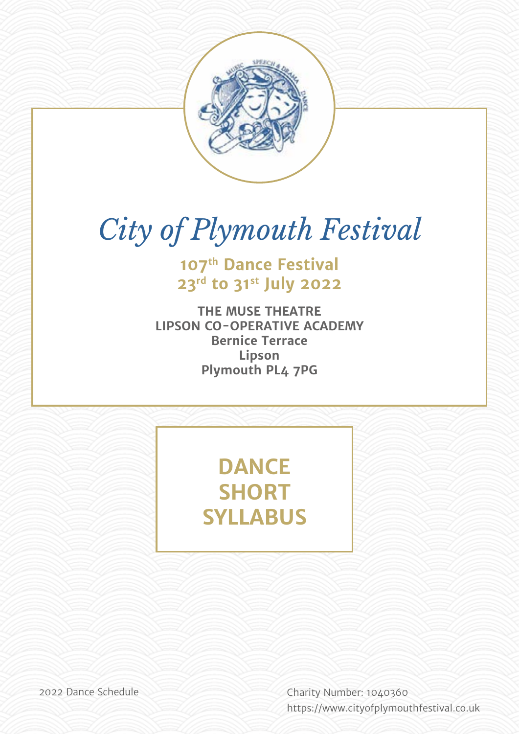

# *City of Plymouth Festival*

**107th Dance Festival 23rd to 31st July 2022**

**THE MUSE THEATRE LIPSON CO-OPERATIVE ACADEMY Bernice Terrace Lipson Plymouth PL4 7PG**

> **DANCE SHORT SYLLABUS**

2022 Dance Schedule Charity Number: 1040360 [https://w](http://bigbluecurrant.com)ww.cityofplymouthfestival.co.uk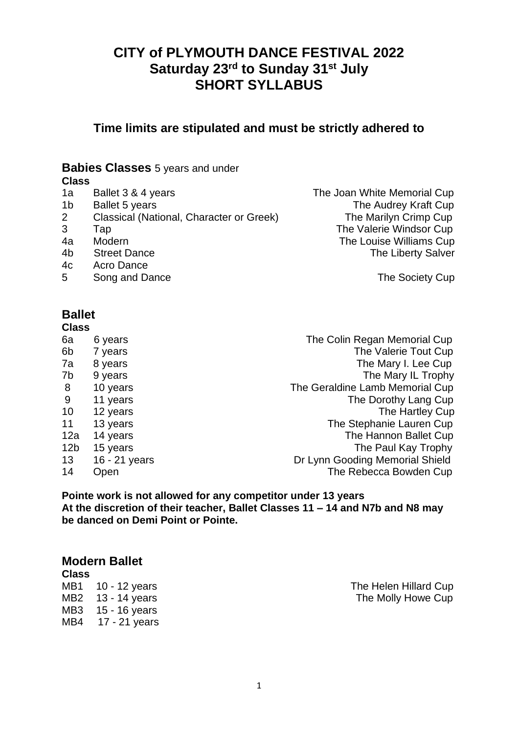# **CITY of PLYMOUTH DANCE FESTIVAL 2022 Saturday 23rd to Sunday 31st July SHORT SYLLABUS**

**Time limits are stipulated and must be strictly adhered to**

## **Babies Classes** 5 years and under

#### **Class**

- 
- 
- 2 Classical (National, Character or Greek) The Marilyn Crimp Cup
- 
- 
- 
- 4c Acro Dance
- 5 Song and Dance **The Society Cup**

1a Ballet 3 & 4 years **The Joan White Memorial Cup** 1b Ballet 5 years The Audrey Kraft Cup 3 Tap The Valerie Windsor Cup 4a Modern The Louise Williams Cup 4b Street Dance **The Liberty Salver** 

# **Ballet**

| <b>Class</b>    |               |                                 |
|-----------------|---------------|---------------------------------|
| 6a              | 6 years       | The Colin Regan Memorial Cup    |
| 6b              | 7 years       | The Valerie Tout Cup            |
| 7a              | 8 years       | The Mary I. Lee Cup             |
| 7b              | 9 years       | The Mary IL Trophy              |
| 8               | 10 years      | The Geraldine Lamb Memorial Cup |
| 9               | 11 years      | The Dorothy Lang Cup            |
| 10              | 12 years      | The Hartley Cup                 |
| 11              | 13 years      | The Stephanie Lauren Cup        |
| 12a             | 14 years      | The Hannon Ballet Cup           |
| 12 <sub>b</sub> | 15 years      | The Paul Kay Trophy             |
| 13              | 16 - 21 years | Dr Lynn Gooding Memorial Shield |
| 14              | Open          | The Rebecca Bowden Cup          |

**Pointe work is not allowed for any competitor under 13 years At the discretion of their teacher, Ballet Classes 11 – 14 and N7b and N8 may be danced on Demi Point or Pointe.** 

## **Modern Ballet**

**Class** MB3 15 - 16 years MB4 17 - 21 years

MB1 10 - 12 years The Helen Hillard Cup MB2 13 - 14 years The Molly Howe Cup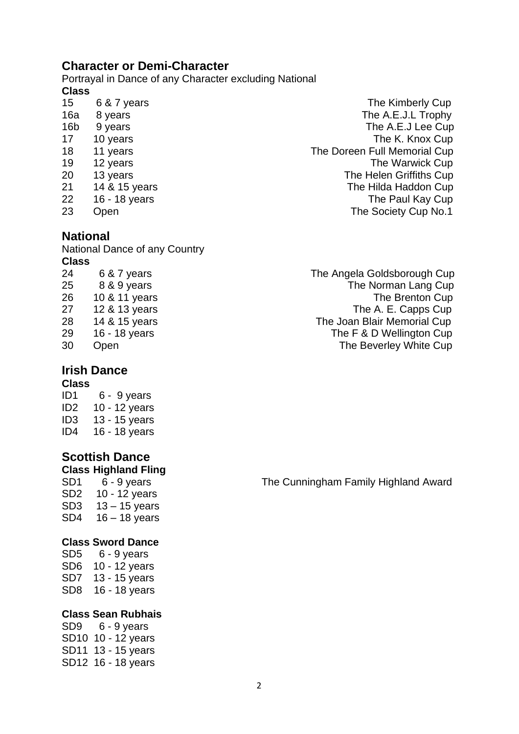## **Character or Demi-Character**

Portrayal in Dance of any Character excluding National **Class**

- 
- 
- 

## **National**

National Dance of any Country **Class**

#### **Irish Dance Class**

ID1 6 - 9 years ID2 10 - 12 years ID3 13 - 15 years ID4 16 - 18 years

#### **Scottish Dance Class Highland Fling**

SD2 10 - 12 years SD3 13 – 15 years SD4 16 – 18 years

#### **Class Sword Dance**

SD5 6 - 9 years SD6 10 - 12 years SD7 13 - 15 years SD8 16 - 18 years

#### **Class Sean Rubhais**

SD9 6 - 9 years SD10 10 - 12 years SD11 13 - 15 years SD12 16 - 18 years

15 6 & 7 years **6 and 15** and 15 and 15 and 15 and 15 and 15 and 15 and 15 and 15 and 15 and 16 and 16 and 16 and 16 and 16 and 16 and 16 and 16 and 16 and 16 and 16 and 16 and 16 and 16 and 16 and 16 and 16 and 16 and 16 16a 8 years The A.E.J.L Trophy 16b 9 years The A.E.J Lee Cup 17 10 years **The K. Knox Cup** 18 11 years The Doreen Full Memorial Cup 19 12 years **The Warwick Cup** 20 13 years The Helen Griffiths Cup 21 14 & 15 years **The Hilda Haddon Cup** 22 16 - 18 years The Paul Kay Cup 23 Open The Society Cup No.1

24 6 & 7 years The Angela Goldsborough Cup 25 8 & 9 years The Norman Lang Cup 26 10 & 11 years The Brenton Cup 27 12 & 13 years The A. E. Capps Cup<br>28 14 & 15 years The Joan Blair Memorial Cup 28 14 & 15 years The Joan Blair Memorial Cup 29 16 - 18 years The F & D Wellington Cup 30 Open The Beverley White Cup

SD1 6 - 9 years The Cunningham Family Highland Award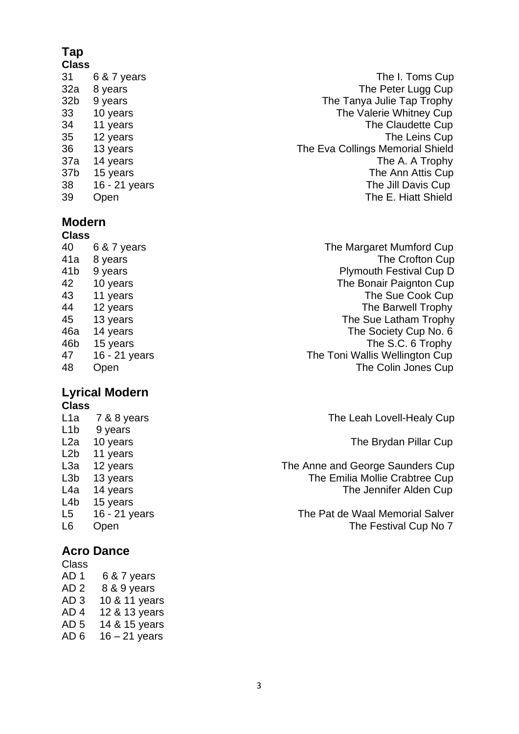# **Tap**

#### **Modern Class**

| פוסט |               |                                |
|------|---------------|--------------------------------|
| 40   | 6 & 7 years   | The Margaret Mumford Cup       |
| 41a  | 8 years       | The Crofton Cup                |
| 41b  | 9 years       | <b>Plymouth Festival Cup D</b> |
| 42   | 10 years      | The Bonair Paignton Cup        |
| 43   | 11 years      | The Sue Cook Cup               |
| 44   | 12 years      | The Barwell Trophy             |
| 45   | 13 years      | The Sue Latham Trophy          |
| 46a  | 14 years      | The Society Cup No. 6          |
| 46b  | 15 years      | The S.C. 6 Trophy              |
| 47   | 16 - 21 years | The Toni Wallis Wellington Cup |
| 48   | Open          | The Colin Jones Cup            |
|      |               |                                |

#### **Lyrical Modern Class**

| L1a              | 7 & 8 years   |
|------------------|---------------|
| L1b              | 9 years       |
| L2a              | 10 years      |
| L2b              | 11 years      |
| L3a              | 12 years      |
| L <sub>3</sub> b | 13 years      |
| L4a              | 14 years      |
| L4b              | 15 years      |
| L5               | 16 - 21 years |
| L6               | Open          |

## **Acro Dance**

| Class           |                 |
|-----------------|-----------------|
| AD <sub>1</sub> | 6 & 7 years     |
| AD <sub>2</sub> | 8 & 9 years     |
| AD <sub>3</sub> | 10 & 11 years   |
| AD <sub>4</sub> | 12 & 13 years   |
| AD <sub>5</sub> | 14 & 15 years   |
| AD <sub>6</sub> | $16 - 21$ years |
|                 |                 |

 6 & 7 years The I. Toms Cup 32a 8 years The Peter Lugg Cup 32b 9 years The Tanya Julie Tap Trophy 10 years The Valerie Whitney Cup 11 years The Claudette Cup 12 years The Leins Cup 13 years The Eva Collings Memorial Shield 37a 14 years **The A. A Trophy** 37b 15 years The Ann Attis Cup 16 - 21 years The Jill Davis Cup Open The E. Hiatt Shield

The Leah Lovell-Healy Cup

The Brydan Pillar Cup

The Anne and George Saunders Cup The Emilia Mollie Crabtree Cup The Jennifer Alden Cup

The Pat de Waal Memorial Salver The Festival Cup No 7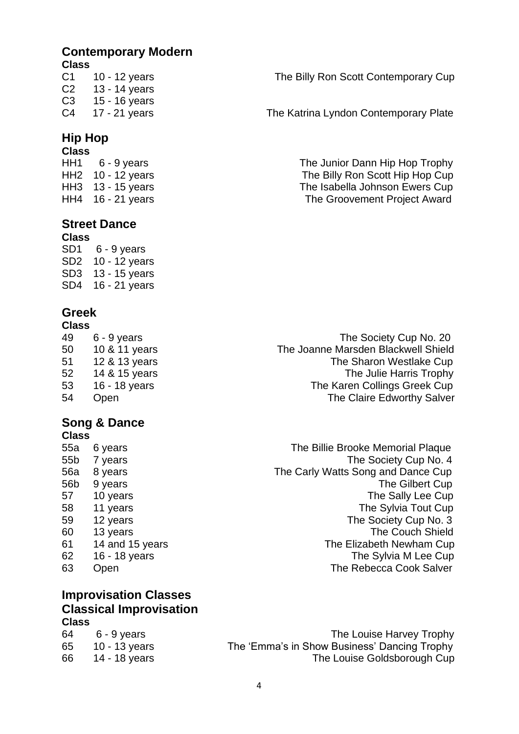## **Contemporary Modern**

#### **Class**

C2 13 - 14 years C3 15 - 16 years

## **Hip Hop**

# **Class**

## **Street Dance**

**Class** SD1 6 - 9 years SD2 10 - 12 years SD3 13 - 15 years SD4 16 - 21 years

# **Greek**

# **Class**

#### **Song & Dance Class**

| 55a | 6 years         |
|-----|-----------------|
| 55b | 7 years         |
| 56a | 8 years         |
| 56b | 9 years         |
| 57  | 10 years        |
| 58  | 11 years        |
| 59  | 12 years        |
| 60  | 13 years        |
| 61  | 14 and 15 years |
| 62  | 16 - 18 years   |
| 63  | Open            |

### **Improvisation Classes Classical Improvisation Class**

| 64    6 - 9 years | The Louise Harvey Trophy                     |
|-------------------|----------------------------------------------|
| 65 10 - 13 years  | The 'Emma's in Show Business' Dancing Trophy |
| 66 14 - 18 years  | The Louise Goldsborough Cup                  |
|                   |                                              |

C1 10 - 12 years The Billy Ron Scott Contemporary Cup

C4 17 - 21 years The Katrina Lyndon Contemporary Plate

HH1 6 - 9 years The Junior Dann Hip Hop Trophy HH2 10 - 12 years The Billy Ron Scott Hip Hop Cup HH3 13 - 15 years The Isabella Johnson Ewers Cup HH4 16 - 21 years The Groovement Project Award

 6 - 9 years The Society Cup No. 20 50 10 & 11 years The Joanne Marsden Blackwell Shield<br>51 12 & 13 years The Sharon Westlake Cup 12 & 13 years The Sharon Westlake Cup 52 14 & 15 years The Julie Harris Trophy 16 - 18 years The Karen Collings Greek Cup Open The Claire Edworthy Salver

> The Billie Brooke Memorial Plaque The Society Cup No. 4 The Carly Watts Song and Dance Cup The Gilbert Cup The Sally Lee Cup The Sylvia Tout Cup The Society Cup No. 3 The Couch Shield The Elizabeth Newham Cup The Sylvia M Lee Cup The Rebecca Cook Salver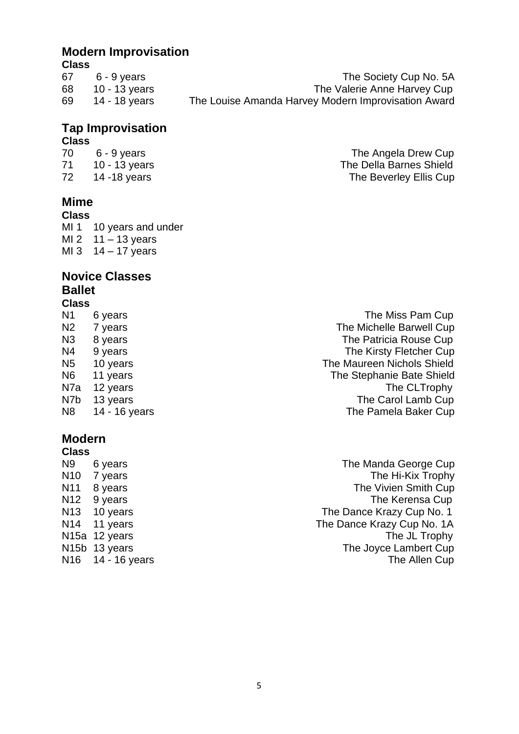## **Modern Improvisation**

#### **Class**

| 67 | $6 - 9$ years | The Society Cup No. 5A                              |
|----|---------------|-----------------------------------------------------|
| 68 | 10 - 13 years | The Valerie Anne Harvey Cup                         |
| 69 | 14 - 18 vears | The Louise Amanda Harvey Modern Improvisation Award |
|    |               |                                                     |

## **Tap Improvisation**

#### **Class**

## **Mime**

#### **Class**

MI 1 10 years and under MI 2  $11 - 13$  years MI 3  $14 - 17$  years

#### **Novice Classes Ballet Class**

#### N1 6 years **N1** 6 years **N1** 6 years **N1** 6 years **N1** 6 years **N1**  $\alpha$ N2 7 years The Michelle Barwell Cup N3 8 years N3 8 years N3 8 years N3 8 years N3 8 years N2 years N2 years N2 years N2 years N2 years N2 years N N4 9 years **N4** 9 years **The Kirsty Fletcher Cup** N5 10 years The Maureen Nichols Shield N6 11 years The Stephanie Bate Shield N7a 12 years The CLTrophy N7b 13 years The Carol Lamb Cup N8 14 - 16 years The Pamela Baker Cup

# **Modern**

**Class**

N9 6 years **N9 6 years** The Manda George Cup N10 7 years The Hi-Kix Trophy N11 8 years **N11** 8 years **N11** 8 years N12 9 years The Kerensa Cup N13 10 years The Dance Krazy Cup No. 1<br>N14 11 years The Dance Krazy Cup No. 1A The Dance Krazy Cup No. 1A N15a 12 years The JL Trophy N15b 13 years The Joyce Lambert Cup N<sub>16</sub> 14 - 16 years The Allen Cup

70 6 - 9 years The Angela Drew Cup 71 10 - 13 years The Della Barnes Shield 72 14 -18 years The Beverley Ellis Cup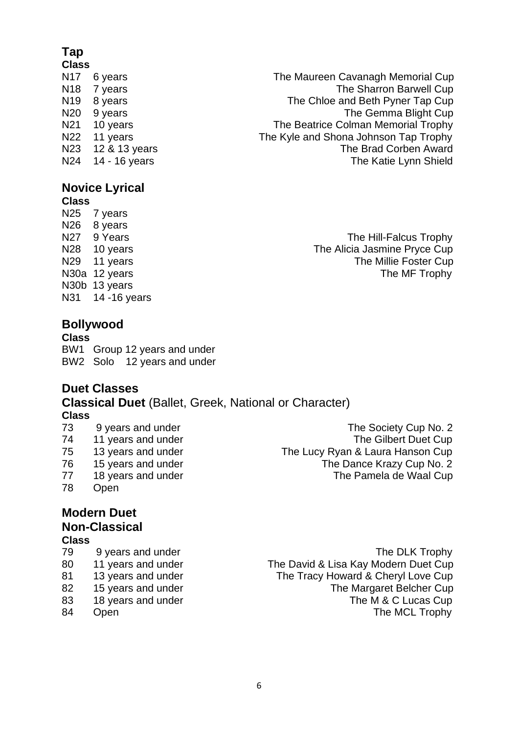# **Tap**

#### **Class**

# **Novice Lyrical**

## **Class**

N25 7 years N<sub>26</sub> 8 years N30b 13 years N31 14 -16 years

# **Bollywood**

**Class** BW1 Group 12 years and under BW2 Solo 12 years and under

## **Duet Classes**

**Classical Duet** (Ballet, Greek, National or Character) **Class**

- 
- 
- 
- 
- 78 Open

# **Modern Duet Non-Classical**

#### **Class**

- 
- 
- 
- 
- 
- 

N17 6 years **N17 6 years** The Maureen Cavanagh Memorial Cup N18 7 years The Sharron Barwell Cup N19 8 years The Chloe and Beth Pyner Tap Cup<br>N20 9 years The Chloe and Beth Pyner Tap Cup The Gemma Blight Cup N21 10 years **The Beatrice Colman Memorial Trophy** N22 11 years The Kyle and Shona Johnson Tap Trophy<br>N23 12 & 13 years The Kyle and Shona Johnson Tap Trophy The Brad Corben Award N24 14 - 16 years N24 14 - 16 years N24 14 - 16 years N24 14 - 16 years N24 14 - 16 years N25 12 12 12 12 12 1

N27 9 Years **The Hill-Falcus Trophy** N28 10 years **N28** 10 years The Alicia Jasmine Pryce Cup N29 11 years The Millie Foster Cup N30a 12 years The MF Trophy

73 9 years and under The Society Cup No. 2 74 11 years and under The Gilbert Duet Cup 75 13 years and under The Lucy Ryan & Laura Hanson Cup 76 15 years and under The Dance Krazy Cup No. 2 77 18 years and under The Pamela de Waal Cup

79 9 years and under The DLK Trophy 80 11 years and under The David & Lisa Kay Modern Duet Cup 81 13 years and under The Tracy Howard & Cheryl Love Cup 82 15 years and under The Margaret Belcher Cup 83 18 years and under The M & C Lucas Cup 84 Open The MCL Trophy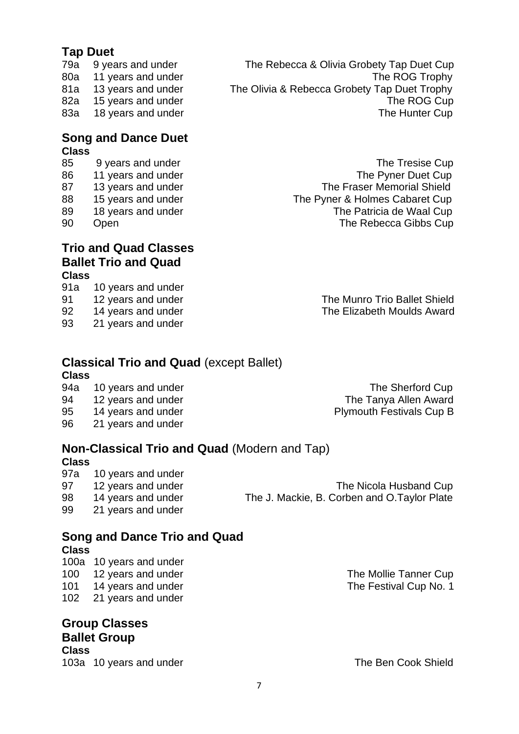# **Tap Duet**

- 
- 

#### **Song and Dance Duet Class**

- 
- 
- 
- 
- 
- 

#### **Trio and Quad Classes Ballet Trio and Quad Class**

- 91a 10 years and under
- 
- 
- 93 21 years and under

79a 9 years and under The Rebecca & Olivia Grobety Tap Duet Cup 80a 11 years and under The ROG Trophy 81a 13 years and under The Olivia & Rebecca Grobety Tap Duet Trophy 82a 15 years and under The ROG Cup 83a 18 years and under The Hunter Cup

85 9 years and under Service Cup and the Tresise Cup 86 11 years and under The Pyner Duet Cup 87 13 years and under The Fraser Memorial Shield 88 15 years and under The Pyner & Holmes Cabaret Cup 89 18 years and under The Patricia de Waal Cup 90 Open The Rebecca Gibbs Cup

91 12 years and under The Munro Trio Ballet Shield 92 14 years and under The Elizabeth Moulds Award

# **Classical Trio and Quad** (except Ballet)

#### **Class**

- 94a 10 years and under The Sherford Cup
- 94 12 years and under The Tanya Allen Award
- 95 14 years and under **Plymouth Festivals Cup B**
- 96 21 years and under

## **Non-Classical Trio and Quad** (Modern and Tap)

#### **Class**

97a 10 years and under 97 12 years and under The Nicola Husband Cup 98 14 years and under The J. Mackie, B. Corben and O.Taylor Plate 99 21 years and under

#### **Song and Dance Trio and Quad Class**

- 100a 10 years and under 100 12 years and under The Mollie Tanner Cup 101 14 years and under The Festival Cup No. 1
- 102 21 years and under

**Group Classes Ballet Group Class** 103a 10 years and under The Ben Cook Shield